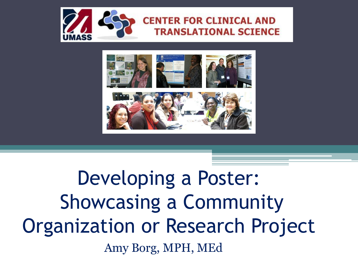

#### **CENTER FOR CLINICAL AND TRANSLATIONAL SCIENCE**



### Developing a Poster: Showcasing a Community Organization or Research Project Amy Borg, MPH, MEd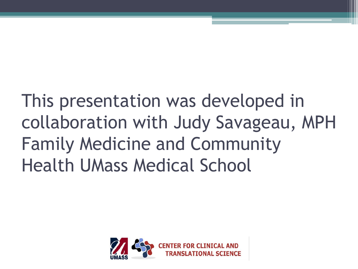### This presentation was developed in collaboration with Judy Savageau, MPH Family Medicine and Community Health UMass Medical School

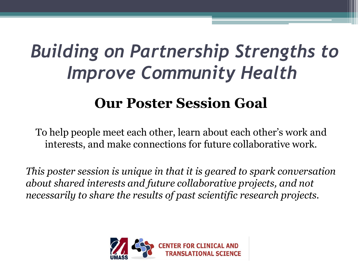### *Building on Partnership Strengths to Improve Community Health*

#### **Our Poster Session Goal**

To help people meet each other, learn about each other's work and interests, and make connections for future collaborative work.

*This poster session is unique in that it is geared to spark conversation about shared interests and future collaborative projects, and not necessarily to share the results of past scientific research projects.* 

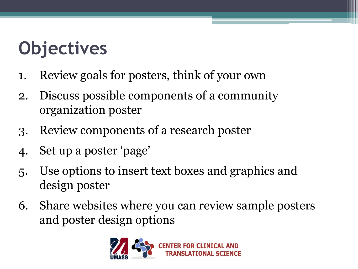# **Objectives**

- 1. Review goals for posters, think of your own
- 2. Discuss possible components of a community organization poster
- 3. Review components of a research poster
- 4. Set up a poster 'page'
- 5. Use options to insert text boxes and graphics and design poster
- 6. Share websites where you can review sample posters and poster design options

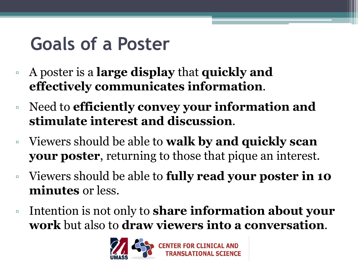#### **Goals of a Poster**

- A poster is a **large display** that **quickly and effectively communicates information**.
- Need to **efficiently convey your information and stimulate interest and discussion**.
- Viewers should be able to **walk by and quickly scan your poster**, returning to those that pique an interest.
- Viewers should be able to **fully read your poster in 10 minutes** or less.
- Intention is not only to **share information about your work** but also to **draw viewers into a conversation**.

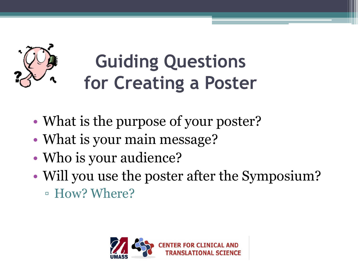

# **Guiding Questions for Creating a Poster**

- What is the purpose of your poster?
- What is your main message?
- Who is your audience?
- Will you use the poster after the Symposium?
	- How? Where?

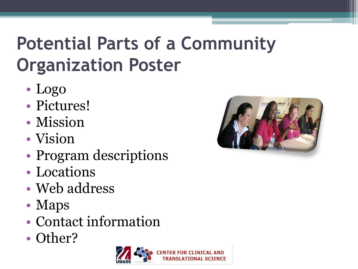# **Potential Parts of a Community Organization Poster**

- Logo
- Pictures!
- Mission
- Vision
- Program descriptions
- Locations
- Web address
- Maps
- Contact information
- Other?



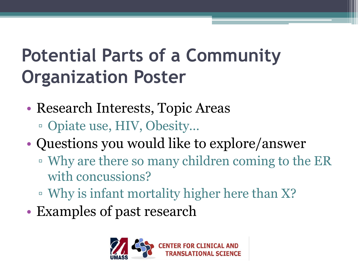### **Potential Parts of a Community Organization Poster**

- Research Interests, Topic Areas ▫ Opiate use, HIV, Obesity…
- Questions you would like to explore/answer
	- Why are there so many children coming to the ER with concussions?
	- Why is infant mortality higher here than X?
- Examples of past research

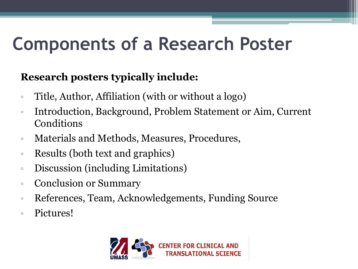#### **Components of a Research Poster**

#### **Research posters typically include:**

- Title, Author, Affiliation (with or without a logo)
- Introduction, Background, Problem Statement or Aim, Current Conditions
- Materials and Methods, Measures, Procedures,
- Results (both text and graphics)
- Discussion (including Limitations)
- Conclusion or Summary
- References, Team, Acknowledgements, Funding Source
- Pictures!

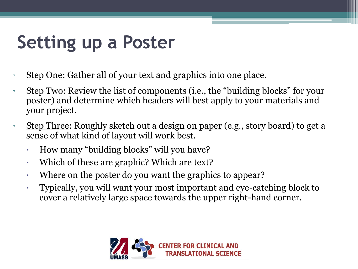- Step One: Gather all of your text and graphics into one place.
- Step Two: Review the list of components (i.e., the "building blocks" for your poster) and determine which headers will best apply to your materials and your project.
- **EXECUTE:** Roughly sketch out a design <u>on paper</u> (e.g., story board) to get a sense of what kind of layout will work best.
	- How many "building blocks" will you have?
	- Which of these are graphic? Which are text?
	- Where on the poster do you want the graphics to appear?
	- Typically, you will want your most important and eye-catching block to cover a relatively large space towards the upper right-hand corner.

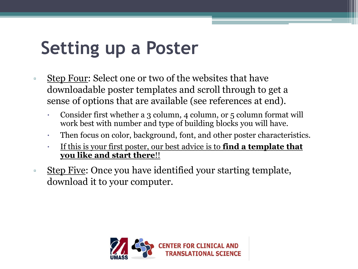- **EXTED FOULE:** Select one or two of the websites that have downloadable poster templates and scroll through to get a sense of options that are available (see references at end).
	- Consider first whether a 3 column, 4 column, or 5 column format will work best with number and type of building blocks you will have.
	- Then focus on color, background, font, and other poster characteristics.
	- If this is your first poster, our best advice is to **find a template that you like and start there**!!
- download it to your computer.

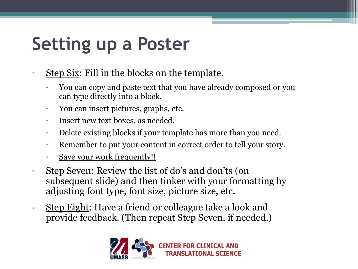- **EXECU SEXE:** Fill in the blocks on the template.
	- You can copy and paste text that you have already composed or you can type directly into a block.
	- You can insert pictures, graphs, etc.
	- Insert new text boxes, as needed.
	- Delete existing blocks if your template has more than you need.
	- Remember to put your content in correct order to tell your story.
	- Save your work frequently!!
- □ Step Seven: Review the list of do's and don'ts (on subsequent slide) and then tinker with your formatting by adjusting font type, font size, picture size, etc.
- **Example 2** Step Eight: Have a friend or colleague take a look and provide feedback. (Then repeat Step Seven, if needed.)

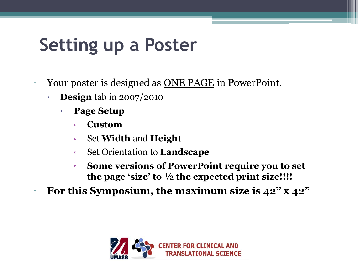- Your poster is designed as <u>ONE PAGE</u> in PowerPoint.
	- **Design** tab in 2007/2010
		- **Page Setup**
			- **Custom**
			- Set **Width** and **Height**
			- Set Orientation to **Landscape**
			- **Some versions of PowerPoint require you to set the page 'size' to ½ the expected print size!!!!**
- **For this Symposium, the maximum size is 42" x 42"**

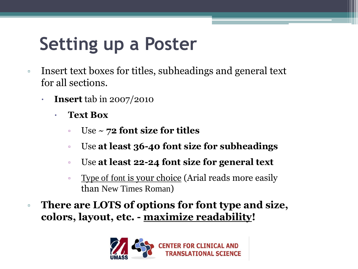- Insert text boxes for titles, subheadings and general text for all sections.
	- **Insert** tab in 2007/2010
		- **Text Box**
			- Use ~ **72 font size for titles**
			- Use **at least 36-40 font size for subheadings**
			- Use **at least 22-24 font size for general text**
			- **Example 5 Type of font is your choice (Arial reads more easily** than New Times Roman)
- **There are LOTS of options for font type and size, colors, layout, etc. - maximize readability!**

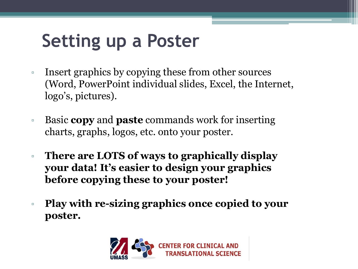- Insert graphics by copying these from other sources (Word, PowerPoint individual slides, Excel, the Internet, logo's, pictures).
- Basic **copy** and **paste** commands work for inserting charts, graphs, logos, etc. onto your poster.
- **There are LOTS of ways to graphically display your data! It's easier to design your graphics before copying these to your poster!**
- **Play with re-sizing graphics once copied to your poster.**

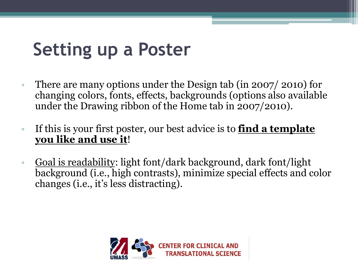- There are many options under the Design tab (in 2007/ 2010) for changing colors, fonts, effects, backgrounds (options also available under the Drawing ribbon of the Home tab in 2007/2010).
- If this is your first poster, our best advice is to **find a template you like and use it**!
- Goal is readability: light font/dark background, dark font/light background (i.e., high contrasts), minimize special effects and color changes (i.e., it's less distracting).

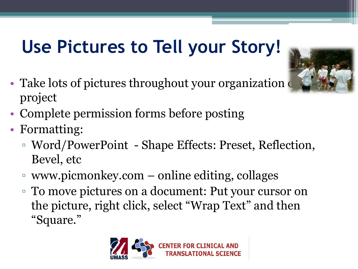## **Use Pictures to Tell your Story!**

- Take lots of pictures throughout your organization project
- Complete permission forms before posting
- Formatting:
	- Word/PowerPoint Shape Effects: Preset, Reflection, Bevel, etc
	- www.picmonkey.com online editing, collages
	- To move pictures on a document: Put your cursor on the picture, right click, select "Wrap Text" and then "Square."



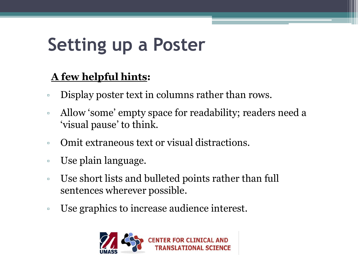#### **A few helpful hints:**

- Display poster text in columns rather than rows.
- Allow 'some' empty space for readability; readers need a 'visual pause' to think.
- Omit extraneous text or visual distractions.
- Use plain language.
- Use short lists and bulleted points rather than full sentences wherever possible.
- Use graphics to increase audience interest.

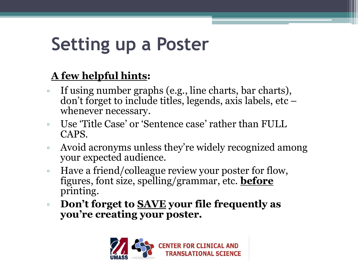#### **A few helpful hints:**

- If using number graphs (e.g., line charts, bar charts), don't forget to include titles, legends, axis labels, etc – whenever necessary.
- Use 'Title Case' or 'Sentence case' rather than FULL CAPS.
- Avoid acronyms unless they're widely recognized among your expected audience.
- Have a friend/colleague review your poster for flow, figures, font size, spelling/grammar, etc. **before** printing.
- **Don't forget to SAVE your file frequently as you're creating your poster.**

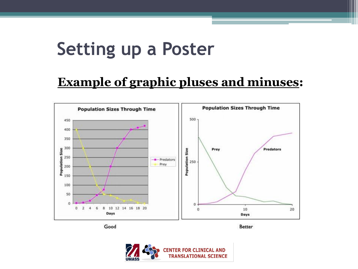#### **Example of graphic pluses and minuses:**



Good

Better

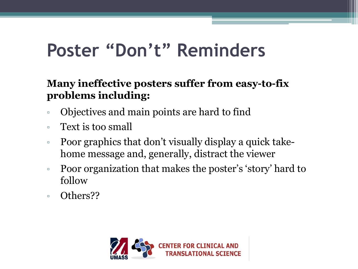#### **Poster "Don't" Reminders**

#### **Many ineffective posters suffer from easy-to-fix problems including:**

- Objectives and main points are hard to find
- Text is too small
- Poor graphics that don't visually display a quick takehome message and, generally, distract the viewer
- Poor organization that makes the poster's 'story' hard to follow
- Others??